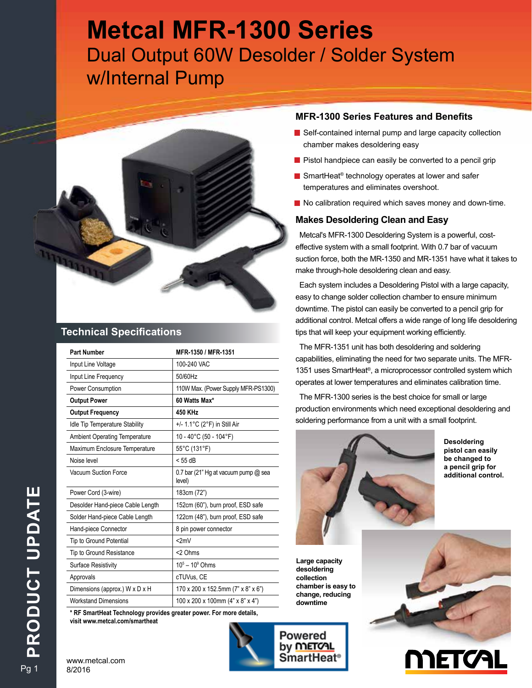# **Metcal MFR-1300 Series**  Dual Output 60W Desolder / Solder System w/Internal Pump



### **Technical Specifications**

| MFR-1350 / MFR-1351                            |
|------------------------------------------------|
| 100-240 VAC                                    |
| 50/60Hz                                        |
| 110W Max. (Power Supply MFR-PS1300)            |
| 60 Watts Max*                                  |
| 450 KHz                                        |
| +/- 1.1°C (2°F) in Still Air                   |
| 10 - 40°C (50 - 104°F)                         |
| 55°C (131°F)                                   |
| $<$ 55 dB                                      |
| 0.7 bar (21" Hg at vacuum pump @ sea<br>level) |
| 183cm (72")                                    |
| 152cm (60"), burn proof, ESD safe              |
| 122cm (48"), burn proof, ESD safe              |
| 8 pin power connector                          |
| <2mV                                           |
| <2 Ohms                                        |
| $10^5 - 10^9$ Ohms                             |
| cTUVus, CE                                     |
| 170 x 200 x 152.5mm (7" x 8" x 6")             |
| 100 x 200 x 100mm $(4" \times 8" \times 4")$   |
|                                                |

**\* RF SmartHeat Technology provides greater power. For more details, visit www.metcal.com/smartheat**

#### **MFR-1300 Series Features and Benefits**

- $\blacksquare$  Self-contained internal pump and large capacity collection chamber makes desoldering easy
- $\blacksquare$  Pistol handpiece can easily be converted to a pencil grip
- SmartHeat<sup>®</sup> technology operates at lower and safer temperatures and eliminates overshoot.
- $\blacksquare$  No calibration required which saves money and down-time.

#### **Makes Desoldering Clean and Easy**

Metcal's MFR-1300 Desoldering System is a powerful, costeffective system with a small footprint. With 0.7 bar of vacuum suction force, both the MR-1350 and MR-1351 have what it takes to make through-hole desoldering clean and easy.

Each system includes a Desoldering Pistol with a large capacity, easy to change solder collection chamber to ensure minimum downtime. The pistol can easily be converted to a pencil grip for additional control. Metcal offers a wide range of long life desoldering tips that will keep your equipment working efficiently.

The MFR-1351 unit has both desoldering and soldering capabilities, eliminating the need for two separate units. The MFR-1351 uses SmartHeat®, a microprocessor controlled system which operates at lower temperatures and eliminates calibration time.

The MFR-1300 series is the best choice for small or large production environments which need exceptional desoldering and soldering performance from a unit with a small footprint.



**Desoldering pistol can easily be changed to a pencil grip for additional control.**

**Large capacity desoldering collection chamber is easy to change, reducing downtime**

Powered by **METOAL** 

SmartHeat<sup>∉</sup>



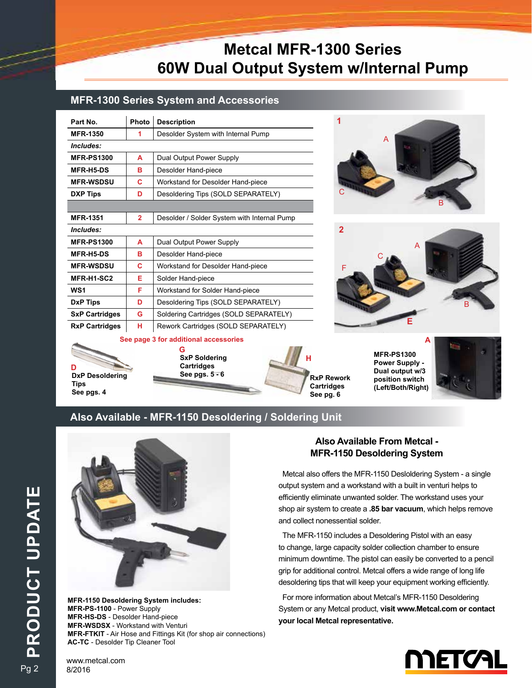# **Metcal MFR-1300 Series 60W Dual Output System w/Internal Pump**

#### **MFR-1300 Series System and Accessories**

| Part No.              | Photo          | <b>Description</b>                          |  |  |
|-----------------------|----------------|---------------------------------------------|--|--|
| <b>MFR-1350</b>       | 1              | Desolder System with Internal Pump          |  |  |
| Includes:             |                |                                             |  |  |
| <b>MFR-PS1300</b>     | A              | Dual Output Power Supply                    |  |  |
| <b>MFR-H5-DS</b>      | в              | Desolder Hand-piece                         |  |  |
| <b>MFR-WSDSU</b>      | С              | Workstand for Desolder Hand-piece           |  |  |
| <b>DXP Tips</b>       | D              | Desoldering Tips (SOLD SEPARATELY)          |  |  |
|                       |                |                                             |  |  |
| <b>MFR-1351</b>       | $\overline{2}$ | Desolder / Solder System with Internal Pump |  |  |
| Includes:             |                |                                             |  |  |
| <b>MFR-PS1300</b>     | A              | Dual Output Power Supply                    |  |  |
| <b>MFR-H5-DS</b>      | в              | Desolder Hand-piece                         |  |  |
| <b>MFR-WSDSU</b>      | C              | Workstand for Desolder Hand-piece           |  |  |
| MFR-H1-SC2            | Е              | Solder Hand-piece                           |  |  |
| WS <sub>1</sub>       | F              | Workstand for Solder Hand-piece             |  |  |
| <b>DxP Tips</b>       | D              | Desoldering Tips (SOLD SEPARATELY)          |  |  |
| <b>SxP Cartridges</b> | G              | Soldering Cartridges (SOLD SEPARATELY)      |  |  |
| <b>RxP Cartridges</b> | н              | Rework Cartridges (SOLD SEPARATELY)         |  |  |



**DxP Desoldering Tips See pgs. 4 D**

**SxP Soldering Cartridges See pgs. 5 - 6 G**



**1** A B C



**A**

**MFR-PS1300 Power Supply - Dual output w/3 position switch (Left/Both/Right)**



#### **Also Available - MFR-1150 Desoldering / Soldering Unit**



**MFR-1150 Desoldering System includes: MFR-PS-1100** - Power Supply **MFR-HS-DS** - Desolder Hand-piece **MFR-WSDSX** - Workstand with Venturi **MFR-FTKIT** - Air Hose and Fittings Kit (for shop air connections) **AC-TC** - Desolder Tip Cleaner Tool

#### **Also Available From Metcal - MFR-1150 Desoldering System**

Metcal also offers the MFR-1150 Desloldering System - a single output system and a workstand with a built in venturi helps to efficiently eliminate unwanted solder. The workstand uses your shop air system to create a **.85 bar vacuum**, which helps remove and collect nonessential solder.

The MFR-1150 includes a Desoldering Pistol with an easy to change, large capacity solder collection chamber to ensure minimum downtime. The pistol can easily be converted to a pencil grip for additional control. Metcal offers a wide range of long life desoldering tips that will keep your equipment working efficiently.

For more information about Metcal's MFR-1150 Desoldering System or any Metcal product, **visit www.Metcal.com or contact your local Metcal representative.** 



PRODUCT UPDATE **PRODUCT UPDATE**

Pg 2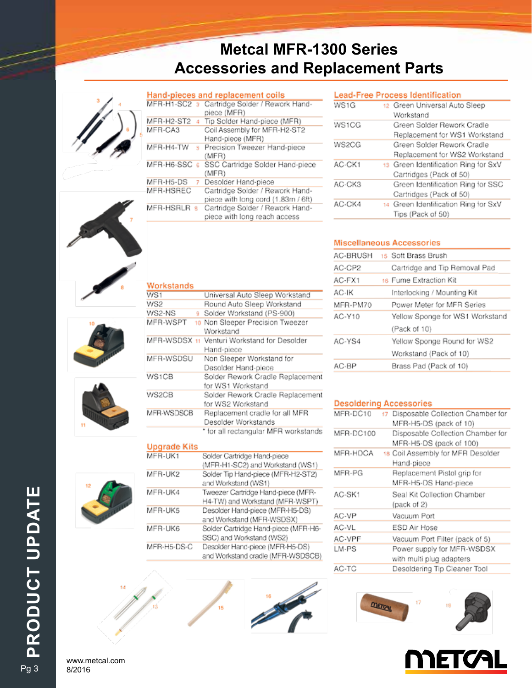# **Metcal MFR-1300 Series Accessories and Replacement Parts**



|              |    | Hand-pieces and replacement coils            |
|--------------|----|----------------------------------------------|
|              |    | MFR-H1-SC2 3 Cartridge Solder / Rework Hand- |
|              |    | piece (MFR)                                  |
| MFR-H2-ST2   |    | Tip Solder Hand-piece (MFR)                  |
| MFR-CA3      |    | Coil Assembly for MFR-H2-ST2                 |
|              |    | Hand-piece (MFR)                             |
| MFR-H4-TW    | 5. | Precision Tweezer Hand-piece                 |
|              |    | (MFR)                                        |
| MFR-H6-SSC 6 |    | SSC Cartridge Solder Hand-piece              |
|              |    | (MFR)                                        |
| MFR-H5-DS    |    | Desolder Hand-piece                          |
| MFR-HSREC    |    | Cartridge Solder / Rework Hand-              |
|              |    | piece with long cord (1.83m / 6ft)           |
| MFR-HSRLR    |    | Cartridge Solder / Rework Hand-              |
|              |    | piece with long reach access                 |
|              |    |                                              |

| Ī. |
|----|
|    |
|    |



| Workstands   |                                      |
|--------------|--------------------------------------|
| WS1          | Universal Auto Sleep Workstand       |
| WS2          | Round Auto Sleep Workstand           |
| WS2-NS<br>9. | Solder Workstand (PS-900)            |
| MFR-WSPT     | 10 Non Sleeper Precision Tweezer     |
|              | Workstand                            |
| MFR-WSDSX 11 | Venturi Workstand for Desolder       |
|              | Hand-piece                           |
| MFR-WSDSU    | Non Sleeper Workstand for            |
|              | Desolder Hand-piece                  |
| WS1CB        | Solder Rework Cradle Replacement     |
|              | for WS1 Workstand                    |
| WS2CB        | Solder Rework Cradle Replacement     |
|              | for WS2 Workstand                    |
| MFR-WSDSCB   | Replacement cradle for all MFR       |
|              | Desolder Workstands                  |
|              | * for all rectangular MFR workstands |

#### **Upgrade Kits**

| MFR-UK1     | Solder Cartridge Hand-piece          |
|-------------|--------------------------------------|
|             | (MFR-H1-SC2) and Workstand (WS1)     |
| MFR-UK2     | Solder Tip Hand-piece (MFR-H2-ST2)   |
|             | and Workstand (WS1)                  |
| MFR-UK4     | Tweezer Cartridge Hand-piece (MFR-   |
|             | H4-TW) and Workstand (MFR-WSPT)      |
| MFR-UK5     | Desolder Hand-piece (MFR-H5-DS)      |
|             | and Workstand (MFR-WSDSX)            |
| MFR-UK6     | Solder Cartridge Hand-piece (MFR-H6- |
|             | SSC) and Workstand (WS2)             |
| MFR-H5-DS-C | Desolder Hand-piece (MFR-H5-DS)      |
|             | and Workstand cradle (MFR-WSDSCB)    |
|             |                                      |

# Lead-Free Process Identification

| wə 1 a | 12 Green Universal Auto Sleep<br>Workstand |
|--------|--------------------------------------------|
|        |                                            |
| WS1CG  | Green Solder Rework Cradle                 |
|        | Replacement for WS1 Workstand              |
| WS2CG  | Green Solder Rework Cradle                 |
|        | Replacement for WS2 Workstand              |
| AC-CK1 | 13 Green Identification Ring for SxV       |
|        | Cartridges (Pack of 50)                    |
| AC-CK3 | Green Identification Ring for SSC          |
|        | Cartridges (Pack of 50)                    |
| AC-CK4 | 14 Green Identification Ring for SxV       |
|        | Tips (Pack of 50)                          |

#### **Miscellaneous Accessories**

| AC-BRUSH | 15 Soft Brass Brush             |
|----------|---------------------------------|
| AC-CP2   | Cartridge and Tip Removal Pad   |
| AC-FX1   | 16 Fume Extraction Kit          |
| AC-IK    | Interlocking / Mounting Kit     |
| MFR-PM70 | Power Meter for MFR Series      |
| AC-Y10   | Yellow Sponge for WS1 Workstand |
|          | (Pack of 10)                    |
| AC-YS4   | Yellow Sponge Round for WS2     |
|          | Workstand (Pack of 10)          |
| AC-BP    | Brass Pad (Pack of 10)          |
|          |                                 |

#### **Desoldering Accessories**

| MFR-DC10  | Disposable Collection Chamber for<br>17 |
|-----------|-----------------------------------------|
|           | MFR-H5-DS (pack of 10)                  |
| MFR-DC100 | Disposable Collection Chamber for       |
|           | MFR-H5-DS (pack of 100)                 |
| MFR-HDCA  | 18 Coil Assembly for MFR Desolder       |
|           | Hand-piece                              |
| MFR-PG    | Replacement Pistol grip for             |
|           | MFR-H5-DS Hand-piece                    |
| AC-SK1    | Seal Kit Collection Chamber             |
|           | (pack of 2)                             |
| AC-VP     | Vacuum Port                             |
| AC-VL     | ESD Air Hose                            |
| AC-VPF    | Vacuum Port Filter (pack of 5)          |
| LM-PS     | Power supply for MFR-WSDSX              |
|           | with multi plug adapters                |
| AC-TC     | Desoldering Tip Cleaner Tool            |



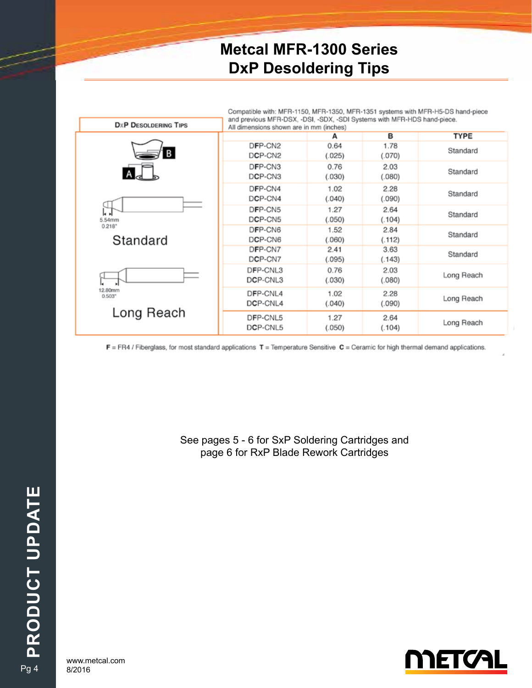## **Metcal MFR-1300 Series DxP Desoldering Tips**

|                                                                  | Compatible with: MFR-1150, MFR-1350, MFR-1351 systems with MFR-H5-DS hand-piece<br>and previous MFR-DSX, -DSI, -SDX, -SDI Systems with MFR-HDS hand-piece. |                |                |             |
|------------------------------------------------------------------|------------------------------------------------------------------------------------------------------------------------------------------------------------|----------------|----------------|-------------|
| <b>DXP DESOLDERING TIPS</b>                                      | All dimensions shown are in mm (inches)                                                                                                                    |                |                |             |
|                                                                  |                                                                                                                                                            | А              | в              | <b>TYPE</b> |
| B                                                                | DFP-CN2<br>DCP-CN <sub>2</sub>                                                                                                                             | 0.64<br>(.025) | 1.78<br>(.070) | Standard    |
|                                                                  | DFP-CN3<br>DCP-CN3                                                                                                                                         | 0.76<br>(.030) | 2.03<br>(.080) | Standard    |
| 5.54mm<br>0.218''<br>Standard<br>12.80mm<br>0.503"<br>Long Reach | DFP-CN4<br>DCP-CN4                                                                                                                                         | 1.02<br>(.040) | 2.28<br>(.090) | Standard    |
|                                                                  | DFP-CN5<br>DCP-CN5                                                                                                                                         | 1.27<br>(.050) | 2.64<br>(.104) | Standard    |
|                                                                  | DFP-CN6<br>DCP-CN6                                                                                                                                         | 1.52<br>(.060) | 2.84<br>(.112) | Standard    |
|                                                                  | DFP-CN7<br>DCP-CN7                                                                                                                                         | 2.41<br>(.095) | 3.63<br>(.143) | Standard    |
|                                                                  | DFP-CNL3<br>DCP-CNL3                                                                                                                                       | 0.76<br>(.030) | 2.03<br>(.080) | Long Reach  |
|                                                                  | DFP-CNL4<br>DCP-CNL4                                                                                                                                       | 1.02<br>(.040) | 2.28<br>(.090) | Long Reach  |
|                                                                  | DFP-CNL5<br>DCP-CNL5                                                                                                                                       | 1.27<br>(.050) | 2.64<br>(.104) | Long Reach  |

 $F$  = FR4 / Fiberglass, for most standard applications  $T$  = Temperature Sensitive  $C$  = Ceramic for high thermal demand applications.

See pages 5 - 6 for SxP Soldering Cartridges and page 6 for RxP Blade Rework Cartridges

www.metcal.com<br>8/2016

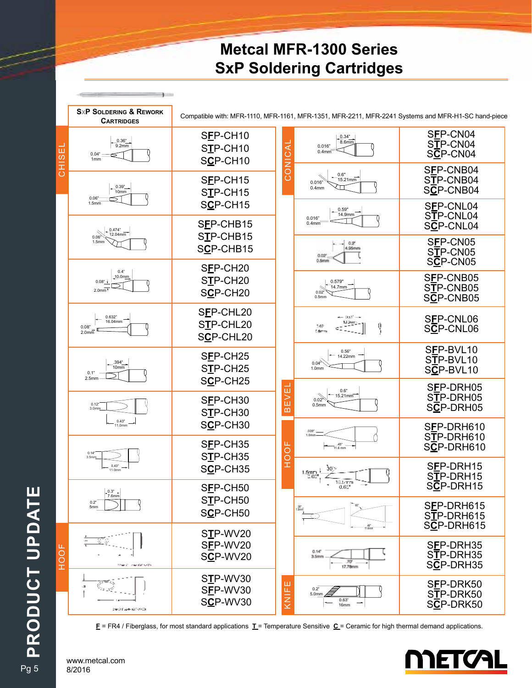### **Metcal MFR-1300 Series SxP Soldering Cartridges**

**SXP SOLDERING & REWORK** Compatible with: MFR-1110, MFR-1161, MFR-1351, MFR-2211, MFR-2241 Systems and MFR-H1-SC hand-piece **CARTRIDGES** S**F**P-CN04 S**F**P-CH10  $0.34"$ 0.36" 8.6 CONICAL S**T**P-CN04  $\frac{3.22}{9.2mm}$  $\overline{A}$ 0.016" CHISEL S**T**P-CH10 щ S**C**P-CN04 0.4mm  $0.04" \rightleftharpoons$ U. S**C**P-CH10 1mm HO NOS S**F**P-CNB04 0.6" S**F**P-CH15 S**T**P-CNB04 15.21mm 0.016" 0.39" 10mm ΥП 0.4mm S**C**P-CNB04 S**T**P-CH15 0.06" S**C**P-CH15 1.5mm S**F**P-CNL04 0.59" 14.9mm S**T**P-CNL04 0.016" S**F**P-CHB15  $0.4<sub>mr</sub>$  S**C**P-CNL04 0.474" S**T**P-CHB15  $0.06$   $12.04$ mm S**F**P-CN05 1.5mm S**C**P-CHB15 S**T**P-CN05  $0.02$  S**C**P-CN05 S**F**P-CH20 0.4"<br>10.0mm S**F**P-CNB05 S**T**P-CH20 0.08" 0.579" 14.7mm S**T**P-CNB05 S**C**P-CH20 2.0mm 0.02" S**C**P-CNB05 0.5mm S**F**P-CHL20  $-35^{\circ}$ 0.632" S**F**P-CNL06 16.04mm  $13.9002 -$  S**T**P-CHL20 q 202 S**C**P-CNL06 cT 0.08" 2.0mm C fam S**C**P-CHL20 S**F**P-BVL10 0.56" S**F**P-CH25 14.22mm S**T**P-BVL10 .394" 0.04" S**T**P-CH25 10mm S**C**P-BVL10 1.0mm 0.1" S**C**P-CH25 2.5mm S**F**P-DRH05 **BEVEI** 0.6"  $15.21$ mm S**T**P-DRH05 S**F**P-CH30 0.5mm 0.12" 3.0mm S**C**P-DRH05 S**T**P-CH30 0.43" 11.0mm S**C**P-CH30 S**F**P-DRH610 .039" Q S**T**P-DRH610 1.0mm S**F**P-CH35 HOOF S**C**P-DRH610 .45" 11.6 mm 0.14" S**T**P-CH35 3.5mm S**F**P-DRH15 0.43" S**C**P-CH35  $1.5<sub>1</sub>$ 11.0mm S**T**P-DRH15 S**C**P-DRH15 S**F**P-CH50 0.3" 7.6mm S**T**P-CH50 0.2" S**F**P-DRH615 5mm 60° .06" S**C**P-CH50 1.5mm S**T**P-DRH615 S**C**P-DRH615 .46" 11.6mm S**T**P-WV20 S**F**P-WV20 S**F**P-DRH35 HOOF $0.14^{o}$  S**T**P-DRH35 S**C**P-WV20 3. Serv S**C**P-DRH35 S**T**P-WV30 KNIFE S**F**P-DRK50 S**F**P-WV30 0.2" S**T**P-DRK50  $\overline{\phantom{a}}$ 5.0mm S**C**P-WV30 0.63" S**C**P-DRK50 16mm Sec 112-4-12099-00

**F** = FR4 / Fiberglass, for most standard applications **T** = Temperature Sensitive **C** = Ceramic for high thermal demand applications.